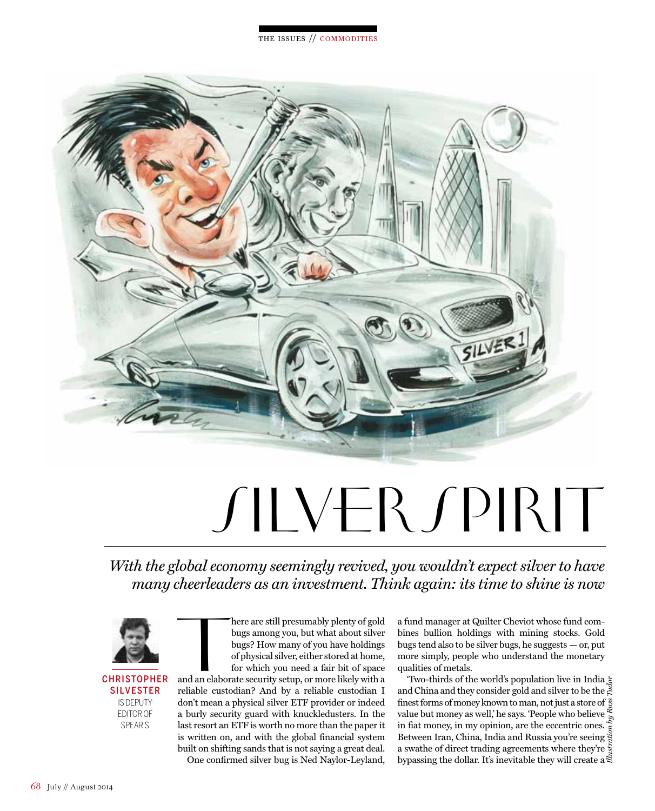

## SILVERSPIRIT

*With the global economy seemingly revived, you wouldn't expect silver to have many cheerleaders as an investment. Think again: its time to shine is now*



## **CHRISTOPHER SILVESTER** is deputy editor of spear's

here are still presumably plenty of gold<br>bugs among you, but what about silver<br>bugs? How many of you have holdings<br>of physical silver, either stored at home,<br>for which you need a fair bit of space<br>and an elaborate security here are still presumably plenty of gold bugs among you, but what about silver bugs? How many of you have holdings of physical silver, either stored at home, for which you need a fair bit of space

reliable custodian? And by a reliable custodian I don't mean a physical silver ETF provider or indeed a burly security guard with knuckledusters. In the last resort an ETF is worth no more than the paper it is written on, and with the global financial system built on shifting sands that is not saying a great deal. One confirmed silver bug is Ned Naylor-Leyland,

a fund manager at Quilter Cheviot whose fund combines bullion holdings with mining stocks. Gold bugs tend also to be silver bugs, he suggests — or, put more simply, people who understand the monetary qualities of metals.

'Two-thirds of the world's population live in India and China and they consider gold and silver to be the  $\stackrel{3}{\in}$ finest forms of money known to man, not just a store of  $\frac{8}{3}$ value but money as well, he says. 'People who believe value but money as well, he says. Prople who believe  $\frac{1}{8}$  in fiat money, in my opinion, are the eccentric ones. Between Iran, China, India and Russia you're seeing a swathe of direct trading agreements where they're  $\frac{5}{3}$ bypassing the dollar. It's inevitable they will create a  $\tilde{\vec{z}}$ *Illustration by Russ Tudor*